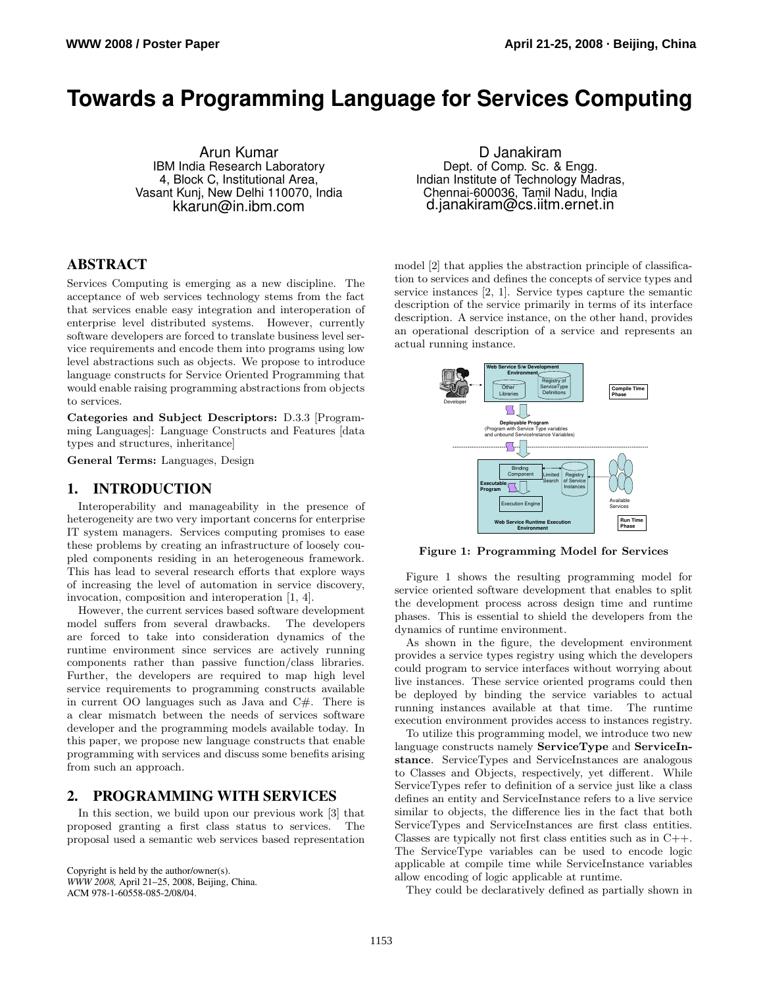# **Towards a Programming Language for Services Computing**

Arun Kumar IBM India Research Laboratory 4, Block C, Institutional Area, Vasant Kunj, New Delhi 110070, India kkarun@in.ibm.com

# **ABSTRACT**

Services Computing is emerging as a new discipline. The acceptance of web services technology stems from the fact that services enable easy integration and interoperation of enterprise level distributed systems. However, currently software developers are forced to translate business level service requirements and encode them into programs using low level abstractions such as objects. We propose to introduce language constructs for Service Oriented Programming that would enable raising programming abstractions from objects to services.

Categories and Subject Descriptors: D.3.3 [Programming Languages]: Language Constructs and Features [data types and structures, inheritance]

General Terms: Languages, Design

# **1. INTRODUCTION**

Interoperability and manageability in the presence of heterogeneity are two very important concerns for enterprise IT system managers. Services computing promises to ease these problems by creating an infrastructure of loosely coupled components residing in an heterogeneous framework. This has lead to several research efforts that explore ways of increasing the level of automation in service discovery, invocation, composition and interoperation [1, 4].

However, the current services based software development model suffers from several drawbacks. The developers are forced to take into consideration dynamics of the runtime environment since services are actively running components rather than passive function/class libraries. Further, the developers are required to map high level service requirements to programming constructs available in current OO languages such as Java and C#. There is a clear mismatch between the needs of services software developer and the programming models available today. In this paper, we propose new language constructs that enable programming with services and discuss some benefits arising from such an approach.

## **2. PROGRAMMING WITH SERVICES**

In this section, we build upon our previous work [3] that proposed granting a first class status to services. The proposal used a semantic web services based representation

Copyright is held by the author/owner(s). *WWW 2008,* April 21–25, 2008, Beijing, China. ACM 978-1-60558-085-2/08/04.

D Janakiram Dept. of Comp. Sc. & Engg. Indian Institute of Technology Madras, Chennai-600036, Tamil Nadu, India d.janakiram@cs.iitm.ernet.in

model [2] that applies the abstraction principle of classification to services and defines the concepts of service types and service instances [2, 1]. Service types capture the semantic description of the service primarily in terms of its interface description. A service instance, on the other hand, provides an operational description of a service and represents an actual running instance.



Figure 1: Programming Model for Services

Figure 1 shows the resulting programming model for service oriented software development that enables to split the development process across design time and runtime phases. This is essential to shield the developers from the dynamics of runtime environment.

As shown in the figure, the development environment provides a service types registry using which the developers could program to service interfaces without worrying about live instances. These service oriented programs could then be deployed by binding the service variables to actual running instances available at that time. The runtime execution environment provides access to instances registry.

To utilize this programming model, we introduce two new language constructs namely ServiceType and ServiceInstance. ServiceTypes and ServiceInstances are analogous to Classes and Objects, respectively, yet different. While ServiceTypes refer to definition of a service just like a class defines an entity and ServiceInstance refers to a live service similar to objects, the difference lies in the fact that both ServiceTypes and ServiceInstances are first class entities. Classes are typically not first class entities such as in  $C++$ . The ServiceType variables can be used to encode logic applicable at compile time while ServiceInstance variables allow encoding of logic applicable at runtime.

They could be declaratively defined as partially shown in